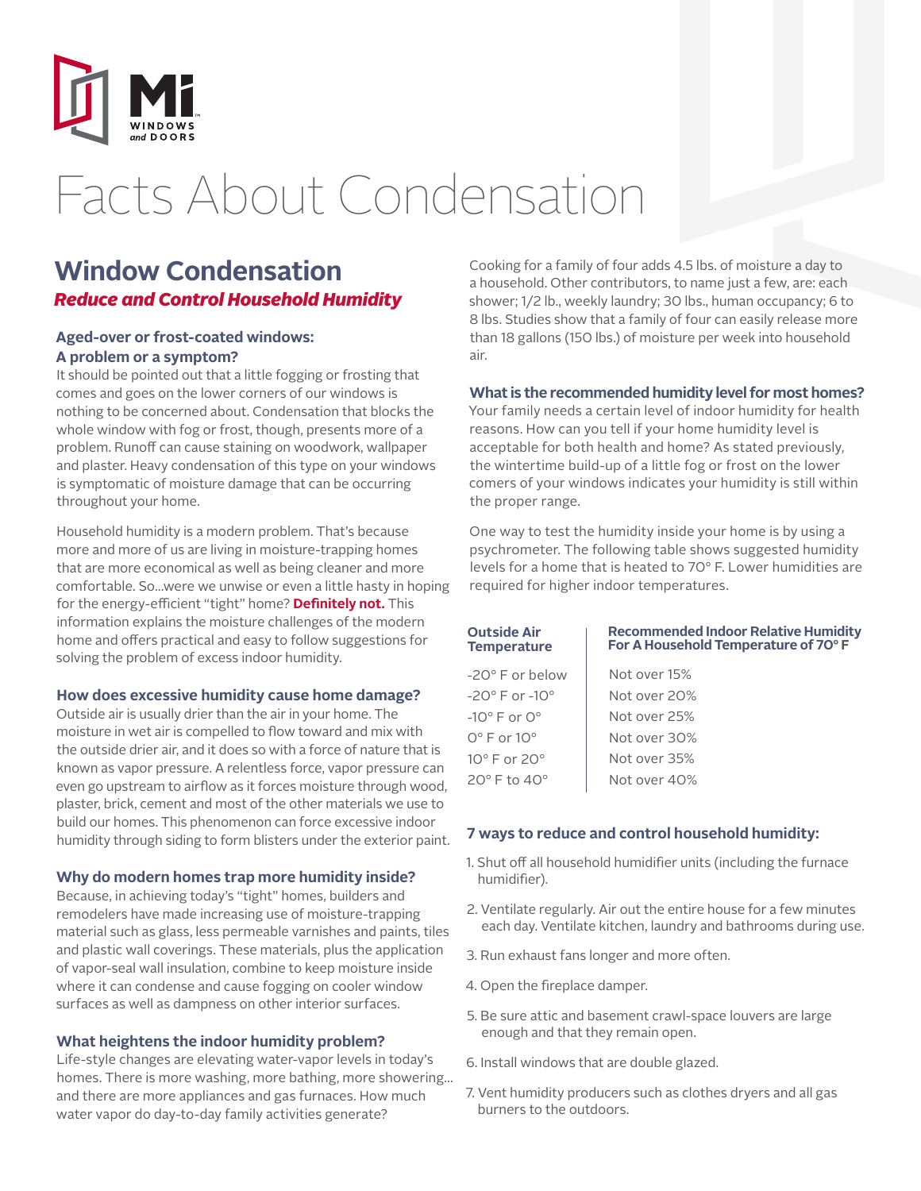

# Facts About Condensation

### **Window Condensation** *Reduce and Control Household Humidity*

#### **Aged-over or frost-coated windows: A problem or a symptom?**

It should be pointed out that a little fogging or frosting that comes and goes on the lower corners of our windows is nothing to be concerned about. Condensation that blocks the whole window with fog or frost, though, presents more of a problem. Runoff can cause staining on woodwork, wallpaper and plaster. Heavy condensation of this type on your windows is symptomatic of moisture damage that can be occurring throughout your home.

Household humidity is a modern problem. That's because more and more of us are living in moisture-trapping homes that are more economical as well as being cleaner and more comfortable. So...were we unwise or even a little hasty in hoping for the energy-efficient "tight" home? **Definitely not.** This information explains the moisture challenges of the modern home and offers practical and easy to follow suggestions for solving the problem of excess indoor humidity.

#### **How does excessive humidity cause home damage?**

Outside air is usually drier than the air in your home. The moisture in wet air is compelled to flow toward and mix with the outside drier air, and it does so with a force of nature that is known as vapor pressure. A relentless force, vapor pressure can even go upstream to airflow as it forces moisture through wood, plaster, brick, cement and most of the other materials we use to build our homes. This phenomenon can force excessive indoor humidity through siding to form blisters under the exterior paint.

#### **Why do modern homes trap more humidity inside?**

Because, in achieving today's "tight" homes, builders and remodelers have made increasing use of moisture-trapping material such as glass, less permeable varnishes and paints, tiles and plastic wall coverings. These materials, plus the application of vapor-seal wall insulation, combine to keep moisture inside where it can condense and cause fogging on cooler window surfaces as well as dampness on other interior surfaces.

#### **What heightens the indoor humidity problem?**

Life-style changes are elevating water-vapor levels in today's homes. There is more washing, more bathing, more showering... and there are more appliances and gas furnaces. How much water vapor do day-to-day family activities generate?

Cooking for a family of four adds 4.5 lbs. of moisture a day to a household. Other contributors, to name just a few, are: each shower; 1/2 lb., weekly laundry; 30 lbs., human occupancy; 6 to 8 lbs. Studies show that a family of four can easily release more than 18 gallons (150 lbs.) of moisture per week into household air.

#### **What is the recommended humidity level for most homes?**

Your family needs a certain level of indoor humidity for health reasons. How can you tell if your home humidity level is acceptable for both health and home? As stated previously, the wintertime build-up of a little fog or frost on the lower comers of your windows indicates your humidity is still within the proper range.

One way to test the humidity inside your home is by using a psychrometer. The following table shows suggested humidity levels for a home that is heated to 70° F. Lower humidities are required for higher indoor temperatures.

| Outside Air<br>Temperature         | <b>Recommended Indoor Relative Humidity</b><br>For A Household Temperature of 70°F |
|------------------------------------|------------------------------------------------------------------------------------|
| -20° F or below                    | Not over 15%                                                                       |
| -20 $^{\circ}$ F or -10 $^{\circ}$ | Not over 20%                                                                       |
| $-10^{\circ}$ F or $0^{\circ}$     | Not over 25%                                                                       |
| $0^\circ$ F or $10^\circ$          | Not over 30%                                                                       |
| $10^{\circ}$ F or 20 $^{\circ}$    | Not over 35%                                                                       |
| 20°F to 40°                        | Not over 40%                                                                       |
|                                    |                                                                                    |

#### **7 ways to reduce and control household humidity:**

- 1. Shut off all household humidifier units (including the furnace humidifier).
- 2. Ventilate regularly. Air out the entire house for a few minutes each day. Ventilate kitchen, laundry and bathrooms during use.
- 3. Run exhaust fans longer and more often.
- 4. Open the fireplace damper.
- 5. Be sure attic and basement crawl-space louvers are large enough and that they remain open.
- 6. Install windows that are double glazed.
- 7. Vent humidity producers such as clothes dryers and all gas burners to the outdoors.